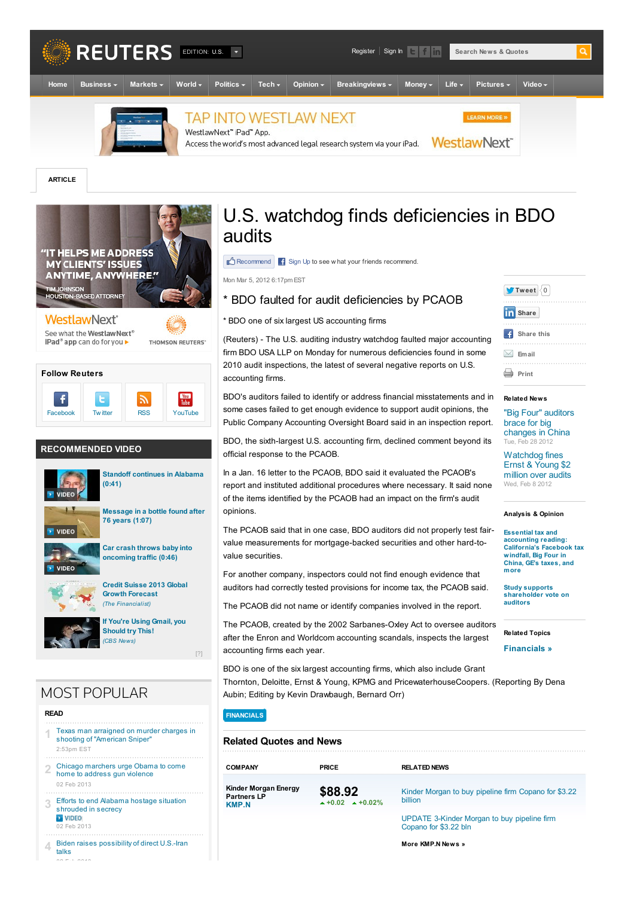

**ARTICLE**



#### **Follow Reuters**  $\ddot{\mathbf{f}}$ **You**<br>Tube  $\mathbf{t}$ ヽ [Facebook](http://www.facebook.com/pages/Reuters/114050161948682) Tw[itter](http://www.twitter.com/reuters) [RSS](http://www.reuters.com/tools/rss) [YouTube](http://www.youtube.com/reuters)

#### **RECOMMENDED VIDEO**



**(0:41)**



**Car crash throws baby into**



**Credit Suisse 2013 Global Growth [Forecast](http://www.thefinancialist.com/credit-suisse-2013-global-growth-forecast/)** *(The Financialist)*

**If You're Using Gmail, you [Should](http://www.cbsnews.com/8301-505143_162-57446526/add-a-snooze-button-to-defer-email/) try This!** *(CBS News)*

## **MOST POPULAR**

#### **READ**

- Texas man [arraigned](/article/2013/02/03/us-usa-crime-sniper-idUSBRE91202K20130203) on murder charges in shooting of "American Sniper" 2:53pm EST **1**
- Chicago [marchers](/article/2013/02/03/us-usa-crime-chicago-idUSBRE91200X20130203) urge Obama to come home to address gun violence 02 Feb 2013 **2**
- Efforts to end Alabama hostage situation [shrouded](/article/2013/02/03/us-usa-alabama-shooting-idUSBRE90U16L20130203) in secrecy **D** VIDEO 02 Feb 2013 **3**
- Biden raises [possibility](/article/2013/02/02/us-iran-nuclear-idUSBRE91107720130202) of direct U.S.-Iran talks **4**

 $\sim$  Fig.  $\sim$ 

## U.S. watchdog finds deficiencies in BDO audits

 $\mathbb{R}^4$  Recommend  $\mathbb{R}$  Sign Up to see w hat your friends recommend.

Mon Mar 5, 2012 6:17pm EST

## \* BDO faulted for audit deficiencies by PCAOB

#### \* BDO one of six largest US accounting firms

(Reuters) - The U.S. auditing industry watchdog faulted major accounting firm BDO USA LLP on Monday for numerous deficiencies found in some 2010 audit inspections, the latest of several negative reports on U.S. accounting firms.

BDO's auditors failed to identify or address financial misstatements and in some cases failed to get enough evidence to support audit opinions, the Public Company Accounting Oversight Board said in an inspection report.

BDO, the sixth-largest U.S. accounting firm, declined comment beyond its official response to the PCAOB.

In a Jan. 16 letter to the PCAOB, BDO said it evaluated the PCAOB's report and instituted additional procedures where necessary. It said none of the items identified by the PCAOB had an impact on the firm's audit opinions.

The PCAOB said that in one case, BDO auditors did not properly test fairvalue measurements for mortgage-backed securities and other hard-tovalue securities.

For another company, inspectors could not find enough evidence that auditors had correctly tested provisions for income tax, the PCAOB said.

The PCAOB did not name or identify companies involved in the report.

The PCAOB, created by the 2002 Sarbanes-Oxley Act to oversee auditors after the Enron and Worldcom accounting scandals, inspects the largest accounting firms each year.

BDO is one of the six largest accounting firms, which also include Grant Thornton, Deloitte, Ernst & Young, KPMG and PricewaterhouseCoopers. (Reporting By Dena Aubin; Editing by Kevin Drawbaugh, Bernard Orr)

#### **[FINANCIALS](/sectors/financials)**

[?]

#### **Related Quotes and News**

| <b>COMPANY</b>                                      | <b>PRICE</b>              | <b>RELATED NEWS</b>                                             |
|-----------------------------------------------------|---------------------------|-----------------------------------------------------------------|
| Kinder Morgan Energy<br><b>Partners LP</b><br>KMP N | 38.92<br>$+0.02 + 0.02\%$ | Kinder Morgan to buy pipeline firm Copano for \$3.22<br>billion |

[UPDATE](/article/2013/01/30/copanoenergy-kindermorgan-idUSL1N0AZ1LC20130130?type=companyNews) 3-Kinder Morgan to buy pipeline firm Copano for \$3.22 bln

**More [KMP.N](/finance/stocks/companyNews?symbol=KMP.N) News »**



#### **Related News**

"Big Four" [auditors](/article/2012/02/28/us-china-accounting-idUSTRE81R07V20120228) brace for big changes in China Tue, Feb 28 2012

[Watchdog](/article/2012/02/08/us-usa-accounting-pcaob-ernst-idUSTRE8172B720120208) fines Ernst & Young \$2 million over audits Wed, Feb 8 2012

#### **Analysis & Opinion**

**Essential tax and accounting reading: [California's](http://blogs.reuters.com/taxbreak/2012/02/28/essential-tax-and-accounting-reading-californias-facebook-tax-windfall-big-four-in-china-ges-taxes-and-more/) Facebook tax windfall, Big Four in China, GE's taxes, and more**

**Study supports [shareholder](http://blogs.reuters.com/taxbreak/2012/02/15/study-supports-shareholder-vote-on-auditors/) vote on auditors**

**Related Topics**

**[Financials](/sectors/financials) »**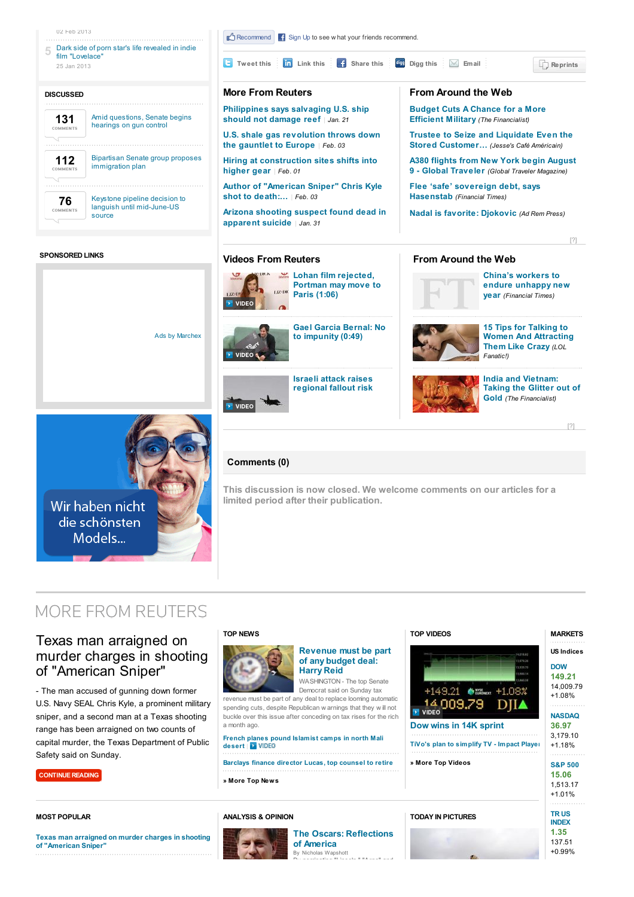

#### **SPONSORED LINKS**

 $\sum_{\text{inter}}$ **Lohan film [rejected,](http://www.reuters.com/video/2013/01/25/k-pop-star-stretches-his-acting-muscles?videoChannel=3&videoId=240736952) China's workers to Portman may move to endure [unhappy](http://www.ft.com/cms/s/0/294d6f0a-6bac-11e2-a700-00144feab49a.html) new LEASTER Paris (1:06) year** *(Financial Times)* VIDEO **Gael Garcia Bernal: No 15 Tips for Talking to** Ads by [Marchex](http://www.industrybrains.com/signupgroup/Welcome_IB.aspx) **to [impunity](http://www.reuters.com/video/2013/01/30/gael-garcia-bernal-no-to-impunity?videoChannel=3&videoId=240861463) (0:49) Women And [Attracting](http://www.lolfanatic.com/15-tips-for-talking-to-women-and-attract-them-like-crazy/) Them Like Crazy** *(LOL* **VIDEO** *Fanatic!)* **Israeli attack raises India and [Vietnam:](http://www.thefinancialist.com/india-and-vietnam-taking-the-glitter-out-of-gold/) [regional](http://www.reuters.com/video/2013/02/01/reuters-tv-bomb-attack-on-us-embassy-in-turkey?videoChannel=117849&videoId=240854217) fallout risk Taking the Glitter out of Gold** *(The Financialist)* VIDEO



#### **Comments (0)**

**This discussion is now closed. We welcome comments on our articles for a limited period after their publication.**

**Videos From Reuters From Around the Web**

## **MORE FROM REUTERS**

## Texas man [arraigned](/article/2013/02/03/us-usa-crime-sniper-idUSBRE91202K20130203) on murder charges in shooting of "American Sniper"

- The man accused of gunning down former U.S. Navy SEAL Chris Kyle, a prominent military sniper, and a second man at a Texas shooting range has been arraigned on two counts of capital murder, the Texas Department of Public Safety said on Sunday.

**[CONTINUE](/article/2013/02/03/us-usa-crime-sniper-idUSBRE91202K20130203) READING**

**MOST POPULAR**

## **TOP [NEWS](/news/archive/topNews?view=page)**



#### **[Revenue](/article/2013/02/03/us-usa-fiscal-reid-idUSBRE9120CB20130203) must be part of any budget deal: Harry Reid** WASHINGTON - The top Senate

Democrat said on Sunday tax revenue must be part of any deal to replace looming automatic spending cuts, despite Republican w arnings that they w ill not buckle over this issue after conceding on tax rises for the rich a month ago.

# **French planes pound [Islamist](/article/2013/02/03/us-mali-rebels-idUSBRE91205Z20130203) camps in north Mali desert** |

**[Barclays](/article/2013/02/03/us-barclays-lucas-idUSBRE9120BA20130203) finance director Lucas, top counsel to retire**

**» More Top [News](/news/archive/topNews?view=page)**

#### **[ANALYSIS](http://blogs.reuters.com) & OPINION**



#### **The Oscars: [Reflections](http://blogs.reuters.com/nicholas-wapshott/2013/01/11/the-oscars-reflections-of-america/) of America** Nicholas [Wapshott](http://blogs.reuters.com/search/journalist.php?n=nicholas.wapshott)



**» More Top [Videos](/news/video?videoChannel=5)**

**TODAY IN [PICTURES](/news/pictures)**



### $+1.01%$ **TR US [INDEX](/finance/markets/index?symbol=.TRXFLDUSP) 1.35**

[?]

137.51 +0.99%

**Texas man arraigned on murder charges in shooting of ["American](/article/2013/02/03/us-usa-crime-sniper-idUSBRE91202K20130203) Sniper"**

**TOP [VIDEOS](/news/video?videoChannel=5)**

**VIDEO**